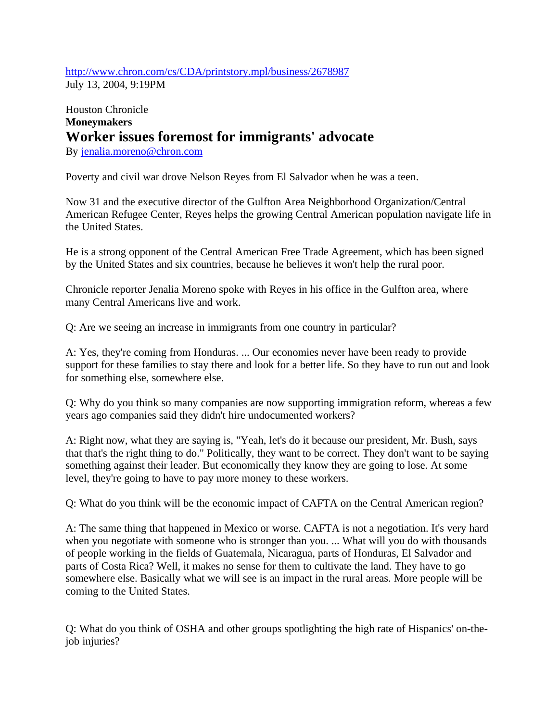http://www.chron.com/cs/CDA/printstory.mpl/business/2678987 July 13, 2004, 9:19PM

## Houston Chronicle **Moneymakers Worker issues foremost for immigrants' advocate**

By jenalia.moreno@chron.com

Poverty and civil war drove Nelson Reyes from El Salvador when he was a teen.

Now 31 and the executive director of the Gulfton Area Neighborhood Organization/Central American Refugee Center, Reyes helps the growing Central American population navigate life in the United States.

He is a strong opponent of the Central American Free Trade Agreement, which has been signed by the United States and six countries, because he believes it won't help the rural poor.

Chronicle reporter Jenalia Moreno spoke with Reyes in his office in the Gulfton area, where many Central Americans live and work.

Q: Are we seeing an increase in immigrants from one country in particular?

A: Yes, they're coming from Honduras. ... Our economies never have been ready to provide support for these families to stay there and look for a better life. So they have to run out and look for something else, somewhere else.

Q: Why do you think so many companies are now supporting immigration reform, whereas a few years ago companies said they didn't hire undocumented workers?

A: Right now, what they are saying is, "Yeah, let's do it because our president, Mr. Bush, says that that's the right thing to do." Politically, they want to be correct. They don't want to be saying something against their leader. But economically they know they are going to lose. At some level, they're going to have to pay more money to these workers.

Q: What do you think will be the economic impact of CAFTA on the Central American region?

A: The same thing that happened in Mexico or worse. CAFTA is not a negotiation. It's very hard when you negotiate with someone who is stronger than you. ... What will you do with thousands of people working in the fields of Guatemala, Nicaragua, parts of Honduras, El Salvador and parts of Costa Rica? Well, it makes no sense for them to cultivate the land. They have to go somewhere else. Basically what we will see is an impact in the rural areas. More people will be coming to the United States.

Q: What do you think of OSHA and other groups spotlighting the high rate of Hispanics' on-thejob injuries?